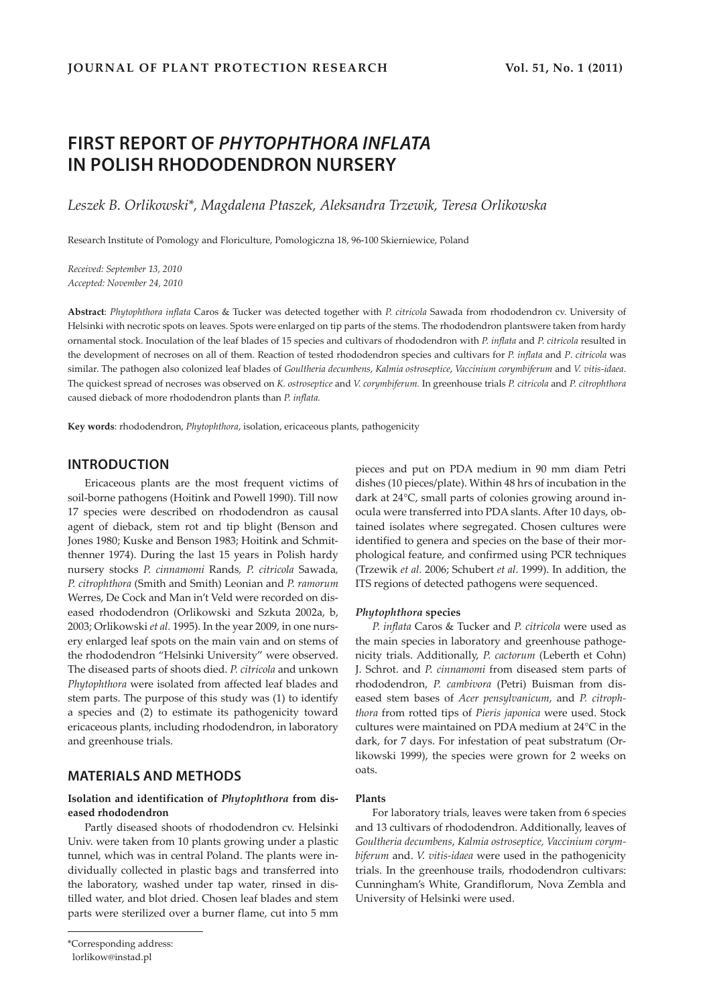# **FIRST REPORT OF** *PHYTOPHTHORA INFLATA* **IN POLISH RHODODENDRON NURSERY**

*Leszek B. Orlikowski\*, Magdalena Ptaszek, Aleksandra Trzewik, Teresa Orlikowska* 

Research Institute of Pomology and Floriculture, Pomologiczna 18, 96-100 Skierniewice, Poland

*Received: September 13, 2010 Accepted: November 24, 2010*

**Abstract**: *Phytophthora inflata* Caros & Tucker was detected together with *P. citricola* Sawada from rhododendron cv. University of Helsinki with necrotic spots on leaves. Spots were enlarged on tip parts of the stems. The rhododendron plantswere taken from hardy ornamental stock. Inoculation of the leaf blades of 15 species and cultivars of rhododendron with *P. inflata* and *P. citricola* resulted in the development of necroses on all of them. Reaction of tested rhododendron species and cultivars for *P. inflata* and *P*. *citricola* was similar. The pathogen also colonized leaf blades of *Goultheria decumbens*, *Kalmia ostroseptice*, *Vaccinium corymbiferum* and *V. vitis-idaea*. The quickest spread of necroses was observed on *K. ostroseptice* and *V. corymbiferum.* In greenhouse trials *P. citricola* and *P. citrophthora* caused dieback of more rhododendron plants than *P. inflata.*

**Key words**: rhododendron, *Phytophthora*, isolation, ericaceous plants, pathogenicity

# **INTRODUCTION**

Ericaceous plants are the most frequent victims of soil-borne pathogens (Hoitink and Powell 1990). Till now 17 species were described on rhododendron as causal agent of dieback, stem rot and tip blight (Benson and Jones 1980; Kuske and Benson 1983; Hoitink and Schmitthenner 1974). During the last 15 years in Polish hardy nursery stocks *P. cinnamomi* Rands*, P. citricola* Sawada*, P. citrophthora* (Smith and Smith) Leonian and *P. ramorum* Werres, De Cock and Man in't Veld were recorded on diseased rhododendron (Orlikowski and Szkuta 2002a, b, 2003; Orlikowski *et al.* 1995). In the year 2009, in one nursery enlarged leaf spots on the main vain and on stems of the rhododendron "Helsinki University" were observed. The diseased parts of shoots died. *P. citricola* and unkown *Phytophthora* were isolated from affected leaf blades and stem parts. The purpose of this study was (1) to identify a species and (2) to estimate its pathogenicity toward ericaceous plants, including rhododendron, in laboratory and greenhouse trials.

# **MATERIALS AND METHODS**

# **Isolation and identification of** *Phytophthora* **from diseased rhododendron**

Partly diseased shoots of rhododendron cv. Helsinki Univ. were taken from 10 plants growing under a plastic tunnel, which was in central Poland. The plants were individually collected in plastic bags and transferred into the laboratory, washed under tap water, rinsed in distilled water, and blot dried. Chosen leaf blades and stem parts were sterilized over a burner flame, cut into 5 mm pieces and put on PDA medium in 90 mm diam Petri dishes (10 pieces/plate). Within 48 hrs of incubation in the dark at 24°C, small parts of colonies growing around inocula were transferred into PDA slants. After 10 days, obtained isolates where segregated. Chosen cultures were identified to genera and species on the base of their morphological feature, and confirmed using PCR techniques (Trzewik *et al.* 2006; Schubert *et al*. 1999). In addition, the ITS regions of detected pathogens were sequenced.

#### *Phytophthora* **species**

*P. inflata* Caros & Tucker and *P. citricola* were used as the main species in laboratory and greenhouse pathogenicity trials. Additionally, *P. cactorum* (Leberth et Cohn) J. Schrot. and *P. cinnamomi* from diseased stem parts of rhododendron, *P. cambivora* (Petri) Buisman from diseased stem bases of *Acer pensylvanicum*, and *P. citrophthora* from rotted tips of *Pieris japonica* were used. Stock cultures were maintained on PDA medium at 24°C in the dark, for 7 days. For infestation of peat substratum (Orlikowski 1999), the species were grown for 2 weeks on oats.

### **Plants**

For laboratory trials, leaves were taken from 6 species and 13 cultivars of rhododendron. Additionally, leaves of *Goultheria decumbens*, *Kalmia ostroseptice, Vaccinium corymbiferum* and. *V. vitis-idaea* were used in the pathogenicity trials. In the greenhouse trails, rhododendron cultivars: Cunningham's White, Grandiflorum, Nova Zembla and University of Helsinki were used.

<sup>\*</sup>Corresponding address:

lorlikow@instad.pl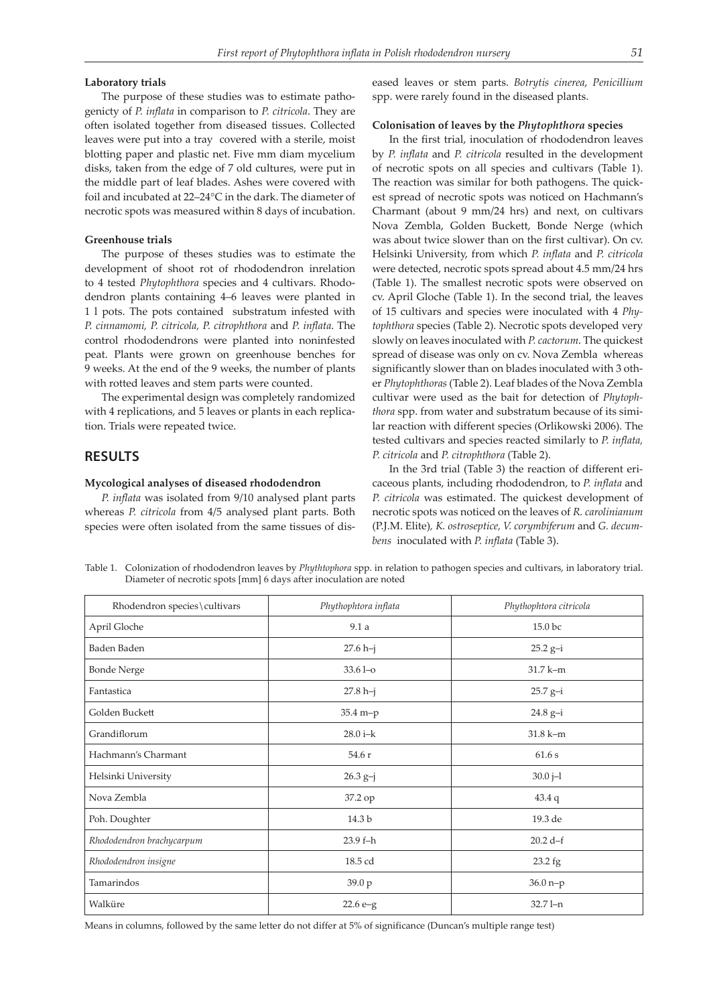#### **Laboratory trials**

The purpose of these studies was to estimate pathogenicty of *P. inflata* in comparison to *P. citricola*. They are often isolated together from diseased tissues. Collected leaves were put into a tray covered with a sterile, moist blotting paper and plastic net. Five mm diam mycelium disks, taken from the edge of 7 old cultures, were put in the middle part of leaf blades. Ashes were covered with foil and incubated at 22–24°C in the dark. The diameter of necrotic spots was measured within 8 days of incubation.

#### **Greenhouse trials**

The purpose of theses studies was to estimate the development of shoot rot of rhododendron inrelation to 4 tested *Phytophthora* species and 4 cultivars. Rhododendron plants containing 4–6 leaves were planted in 1 l pots. The pots contained substratum infested with *P. cinnamomi, P. citricola, P. citrophthora* and *P. inflata*. The control rhododendrons were planted into noninfested peat. Plants were grown on greenhouse benches for 9 weeks. At the end of the 9 weeks, the number of plants with rotted leaves and stem parts were counted.

The experimental design was completely randomized with 4 replications, and 5 leaves or plants in each replication. Trials were repeated twice.

# **RESULTS**

#### **Mycological analyses of diseased rhododendron**

*P. inflata* was isolated from 9/10 analysed plant parts whereas *P. citricola* from 4/5 analysed plant parts. Both species were often isolated from the same tissues of diseased leaves or stem parts. *Botrytis cinerea*, *Penicillium* spp. were rarely found in the diseased plants.

#### **Colonisation of leaves by the** *Phytophthora* **species**

In the first trial, inoculation of rhododendron leaves by *P. inflata* and *P. citricola* resulted in the development of necrotic spots on all species and cultivars (Table 1). The reaction was similar for both pathogens. The quickest spread of necrotic spots was noticed on Hachmann's Charmant (about 9 mm/24 hrs) and next, on cultivars Nova Zembla, Golden Buckett, Bonde Nerge (which was about twice slower than on the first cultivar). On cv. Helsinki University, from which *P. inflata* and *P. citricola* were detected, necrotic spots spread about 4.5 mm/24 hrs (Table 1). The smallest necrotic spots were observed on cv. April Gloche (Table 1). In the second trial, the leaves of 15 cultivars and species were inoculated with 4 *Phytophthora* species (Table 2). Necrotic spots developed very slowly on leaves inoculated with *P. cactorum*. The quickest spread of disease was only on cv. Nova Zembla whereas significantly slower than on blades inoculated with 3 other *Phytophthoras* (Table 2). Leaf blades of the Nova Zembla cultivar were used as the bait for detection of *Phytophthora* spp. from water and substratum because of its similar reaction with different species (Orlikowski 2006). The tested cultivars and species reacted similarly to *P. inflata, P. citricola* and *P. citrophthora* (Table 2).

In the 3rd trial (Table 3) the reaction of different ericaceous plants, including rhododendron, to *P. inflata* and *P. citricola* was estimated. The quickest development of necrotic spots was noticed on the leaves of *R. carolinianum*  (P.J.M. Elite)*, K. ostroseptice, V. corymbiferum* and *G. decumbens* inoculated with *P. inflata* (Table 3).

Table 1. Colonization of rhododendron leaves by *Phythtophora* spp. in relation to pathogen species and cultivars, in laboratory trial. Diameter of necrotic spots [mm] 6 days after inoculation are noted

| Rhodendron species\cultivars | Phythophtora inflata | Phythophtora citricola |
|------------------------------|----------------------|------------------------|
| April Gloche                 | 9.1a                 | 15.0 bc                |
| Baden Baden                  | $27.6 h-j$           | $25.2 g-i$             |
| <b>Bonde Nerge</b>           | $33.61 - o$          | $31.7 k-m$             |
| Fantastica                   | $27.8 h-j$           | $25.7 g-i$             |
| Golden Buckett               | $35.4 m-p$           | $24.8 g-i$             |
| Grandiflorum                 | $28.0 i - k$         | 31.8 k-m               |
| Hachmann's Charmant          | 54.6 r               | 61.6s                  |
| Helsinki University          | $26.3 g-j$           | $30.0 j - 1$           |
| Nova Zembla                  | 37.2 op              | $43.4\ q$              |
| Poh. Doughter                | 14.3 b               | 19.3 de                |
| Rhododendron brachycarpum    | 23.9 f-h             | $20.2 d-f$             |
| Rhododendron insigne         | 18.5 cd              | 23.2 fg                |
| Tamarindos                   | 39.0 p               | $36.0 n-p$             |
| Walküre                      | $22.6 e-g$           | 32.7 l-n               |

Means in columns, followed by the same letter do not differ at 5% of significance (Duncan's multiple range test)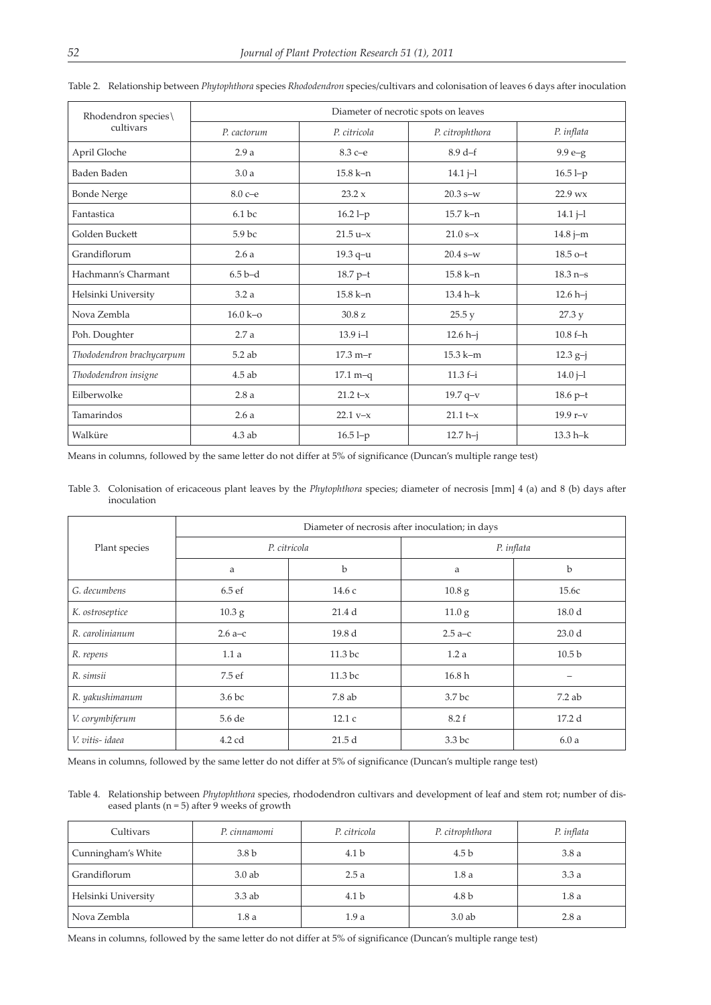| Rhodendron species\       | Diameter of necrotic spots on leaves |              |                 |              |
|---------------------------|--------------------------------------|--------------|-----------------|--------------|
| cultivars                 | P. cactorum                          | P. citricola | P. citrophthora | P. inflata   |
| April Gloche              | 2.9a                                 | $8.3 c = e$  | $8.9d-f$        | $9.9 e-g$    |
| Baden Baden               | 3.0a                                 | $15.8 k - n$ | $14.1 j-1$      | $16.5 l-p$   |
| <b>Bonde Nerge</b>        | $8.0 c = e$                          | 23.2 x       | $20.3 s-w$      | 22.9 wx      |
| Fantastica                | 6.1 bc                               | $16.2 l-p$   | 15.7 k-n        | $14.1 -$     |
| Golden Buckett            | 5.9 bc                               | $21.5 u-x$   | $21.0 s-x$      | $14.8 j-m$   |
| Grandiflorum              | 2.6a                                 | 19.3 q-u     | $20.4$ s-w      | $18.5$ o-t   |
| Hachmann's Charmant       | $6.5b-d$                             | $18.7 p-t$   | $15.8 k-n$      | $18.3$ n-s   |
| Helsinki University       | 3.2a                                 | $15.8 k - n$ | $13.4 h - k$    | $12.6 h-j$   |
| Nova Zembla               | $16.0 k - 0$                         | 30.8 z       | 25.5 y          | 27.3 y       |
| Poh. Doughter             | 2.7a                                 | $13.9 i-1$   | $12.6 h-j$      | $10.8 f-h$   |
| Thododendron brachycarpum | $5.2$ ab                             | $17.3 m-r$   | $15.3 k-m$      | $12.3 g-j$   |
| Thododendron insigne      | $4.5$ ab                             | $17.1 m-q$   | $11.3 f-i$      | $14.0 -1$    |
| Eilberwolke               | 2.8a                                 | $21.2 + x$   | $19.7$ q-v      | $18.6 p-t$   |
| Tamarindos                | 2.6a                                 | $22.1 v-x$   | $21.1 t - x$    | $19.9r-v$    |
| Walküre                   | $4.3$ ab                             | $16.51-p$    | $12.7 h-j$      | $13.3 h - k$ |

Table 2. Relationship between *Phytophthora* species *Rhododendron* species/cultivars and colonisation of leaves 6 days after inoculation

Means in columns, followed by the same letter do not differ at 5% of significance (Duncan's multiple range test)

Table 3. Colonisation of ericaceous plant leaves by the *Phytophthora* species; diameter of necrosis [mm] 4 (a) and 8 (b) days after inoculation

|                 | Diameter of necrosis after inoculation; in days |                   |                   |                   |
|-----------------|-------------------------------------------------|-------------------|-------------------|-------------------|
| Plant species   | P. citricola                                    |                   | P. inflata        |                   |
|                 | a                                               | b                 | a                 | b                 |
| G. decumbens    | 6.5ef                                           | 14.6c             | $10.8\text{ g}$   | 15.6c             |
| K. ostroseptice | 10.3 <sub>g</sub>                               | 21.4d             | 11.0 <sub>g</sub> | 18.0 <sub>d</sub> |
| R. carolinianum | $2.6a-c$                                        | 19.8 <sub>d</sub> | $2.5a-c$          | 23.0 <sub>d</sub> |
| R. repens       | 1.1a                                            | 11.3 bc           | 1.2a              | 10.5 <sub>b</sub> |
| R. simsii       | 7.5 ef                                          | 11.3 bc           | 16.8 <sub>h</sub> |                   |
| R. yakushimanum | 3.6 <sub>bc</sub>                               | 7.8ab             | 3.7 <sub>bc</sub> | $7.2$ ab          |
| V. corymbiferum | 5.6 de                                          | 12.1c             | 8.2 f             | 17.2d             |
| V. vitis-idaea  | 4.2 cd                                          | 21.5d             | 3.3 <sub>bc</sub> | 6.0a              |

Means in columns, followed by the same letter do not differ at 5% of significance (Duncan's multiple range test)

Table 4. Relationship between *Phytophthora* species, rhododendron cultivars and development of leaf and stem rot; number of diseased plants ( $n = 5$ ) after 9 weeks of growth

| Cultivars           | P. cinnamomi     | P. citricola     | P. citrophthora  | P. inflata |
|---------------------|------------------|------------------|------------------|------------|
| Cunningham's White  | 3.8 <sub>b</sub> | 4.1 <sub>b</sub> | 4.5 <sub>b</sub> | 3.8a       |
| Grandiflorum        | $3.0$ ab         | 2.5a             | 1.8a             | 3.3a       |
| Helsinki University | $3.3$ ab         | 4.1 <sub>b</sub> | 4.8 <sub>b</sub> | 1.8a       |
| Nova Zembla         | 1.8a             | 1.9a             | $3.0$ ab         | 2.8a       |

Means in columns, followed by the same letter do not differ at 5% of significance (Duncan's multiple range test)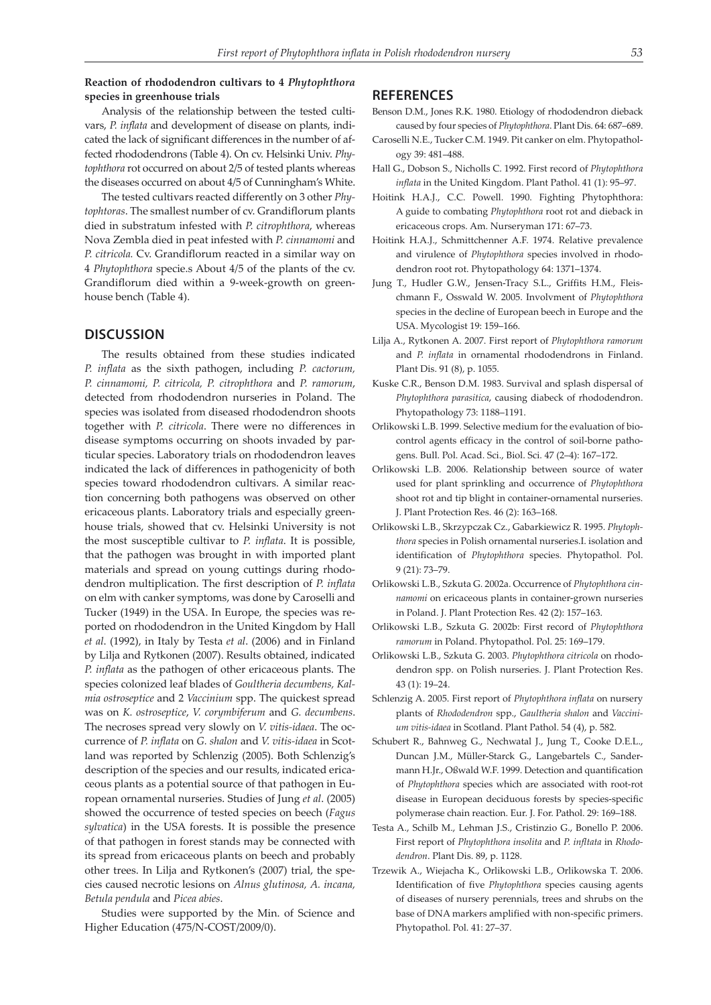## **Reaction of rhododendron cultivars to 4** *Phytophthora* **species in greenhouse trials**

# Analysis of the relationship between the tested cultivars, *P. inflata* and development of disease on plants, indicated the lack of significant differences in the number of affected rhododendrons (Table 4). On cv. Helsinki Univ. *Phytophthora* rot occurred on about 2/5 of tested plants whereas the diseases occurred on about 4/5 of Cunningham's White.

The tested cultivars reacted differently on 3 other *Phytophtoras*. The smallest number of cv. Grandiflorum plants died in substratum infested with *P. citrophthora*, whereas Nova Zembla died in peat infested with *P. cinnamomi* and *P. citricola.* Cv. Grandiflorum reacted in a similar way on 4 *Phytophthora* specie.s About 4/5 of the plants of the cv. Grandiflorum died within a 9-week-growth on greenhouse bench (Table 4).

### **DISCUSSION**

The results obtained from these studies indicated *P. inflata* as the sixth pathogen, including *P. cactorum, P. cinnamomi, P. citricola, P. citrophthora* and *P. ramorum*, detected from rhododendron nurseries in Poland. The species was isolated from diseased rhododendron shoots together with *P. citricola*. There were no differences in disease symptoms occurring on shoots invaded by particular species. Laboratory trials on rhododendron leaves indicated the lack of differences in pathogenicity of both species toward rhododendron cultivars. A similar reaction concerning both pathogens was observed on other ericaceous plants. Laboratory trials and especially greenhouse trials, showed that cv. Helsinki University is not the most susceptible cultivar to *P. inflata*. It is possible, that the pathogen was brought in with imported plant materials and spread on young cuttings during rhododendron multiplication. The first description of *P. inflata* on elm with canker symptoms, was done by Caroselli and Tucker (1949) in the USA. In Europe, the species was reported on rhododendron in the United Kingdom by Hall *et al*. (1992), in Italy by Testa *et al*. (2006) and in Finland by Lilja and Rytkonen (2007). Results obtained, indicated *P. inflata* as the pathogen of other ericaceous plants. The species colonized leaf blades of *Goultheria decumbens, Kalmia ostroseptice* and 2 *Vaccinium* spp. The quickest spread was on *K. ostroseptice*, *V. corymbiferum* and *G. decumbens*. The necroses spread very slowly on *V. vitis-idaea*. The occurrence of *P. inflata* on *G. shalon* and *V. vitis-idaea* in Scotland was reported by Schlenzig (2005). Both Schlenzig's description of the species and our results, indicated ericaceous plants as a potential source of that pathogen in European ornamental nurseries. Studies of Jung *et al*. (2005) showed the occurrence of tested species on beech (*Fagus sylvatica*) in the USA forests. It is possible the presence of that pathogen in forest stands may be connected with its spread from ericaceous plants on beech and probably other trees. In Lilja and Rytkonen's (2007) trial, the species caused necrotic lesions on *Alnus glutinosa, A. incana, Betula pendula* and *Picea abies*.

Studies were supported by the Min. of Science and Higher Education (475/N-COST/2009/0).

#### **REFERENCES**

- Benson D.M., Jones R.K. 1980. Etiology of rhododendron dieback caused by four species of *Phytophthora*. Plant Dis. 64: 687–689.
- Caroselli N.E., Tucker C.M. 1949. Pit canker on elm. Phytopathology 39: 481–488.
- Hall G., Dobson S., Nicholls C. 1992. First record of *Phytophthora inflata* in the United Kingdom. Plant Pathol. 41 (1): 95–97.
- Hoitink H.A.J., C.C. Powell. 1990. Fighting Phytophthora: A guide to combating *Phytophthora* root rot and dieback in ericaceous crops. Am. Nurseryman 171: 67–73.
- Hoitink H.A.J., Schmittchenner A.F. 1974. Relative prevalence and virulence of *Phytophthora* species involved in rhododendron root rot. Phytopathology 64: 1371–1374.
- Jung T., Hudler G.W., Jensen-Tracy S.L., Griffits H.M., Fleischmann F., Osswald W. 2005. Involvment of *Phytophthora* species in the decline of European beech in Europe and the USA. Mycologist 19: 159–166.
- Lilja A., Rytkonen A. 2007. First report of *Phytophthora ramorum* and *P. inflata* in ornamental rhododendrons in Finland. Plant Dis. 91 (8), p. 1055.
- Kuske C.R., Benson D.M. 1983. Survival and splash dispersal of *Phytophthora parasitica*, causing diabeck of rhododendron. Phytopathology 73: 1188–1191.
- Orlikowski L.B. 1999. Selective medium for the evaluation of biocontrol agents efficacy in the control of soil-borne pathogens. Bull. Pol. Acad. Sci., Biol. Sci. 47 (2–4): 167–172.
- Orlikowski L.B. 2006. Relationship between source of water used for plant sprinkling and occurrence of *Phytophthora* shoot rot and tip blight in container-ornamental nurseries. J. Plant Protection Res. 46 (2): 163–168.
- Orlikowski L.B., Skrzypczak Cz., Gabarkiewicz R. 1995. *Phytophthora* species in Polish ornamental nurseries.I. isolation and identification of *Phytophthora* species. Phytopathol. Pol. 9 (21): 73–79.
- Orlikowski L.B., Szkuta G. 2002a. Occurrence of *Phytophthora cinnamomi* on ericaceous plants in container-grown nurseries in Poland. J. Plant Protection Res. 42 (2): 157–163.
- Orlikowski L.B., Szkuta G. 2002b: First record of *Phytophthora ramorum* in Poland. Phytopathol. Pol. 25: 169–179.
- Orlikowski L.B., Szkuta G. 2003. *Phytophthora citricola* on rhododendron spp. on Polish nurseries. J. Plant Protection Res. 43 (1): 19–24.
- Schlenzig A. 2005. First report of *Phytophthora inflata* on nursery plants of *Rhododendron* spp., *Gaultheria shalon* and *Vaccinium vitis-idaea* in Scotland. Plant Pathol. 54 (4), p. 582.
- Schubert R., Bahnweg G., Nechwatal J., Jung T., Cooke D.E.L., Duncan J.M., Müller-Starck G., Langebartels C., Sandermann H.Jr., Oßwald W.F. 1999. Detection and quantification of *Phytophthora* species which are associated with root-rot disease in European deciduous forests by species-specific polymerase chain reaction. Eur. J. For. Pathol. 29: 169–188.
- Testa A., Schilb M., Lehman J.S., Cristinzio G., Bonello P. 2006. First report of *Phytophthora insolita* and *P. infltata* in *Rhododendron*. Plant Dis. 89, p. 1128.
- Trzewik A., Wiejacha K., Orlikowski L.B., Orlikowska T. 2006. Identification of five *Phytophthora* species causing agents of diseases of nursery perennials, trees and shrubs on the base of DNA markers amplified with non-specific primers. Phytopathol. Pol. 41: 27–37.